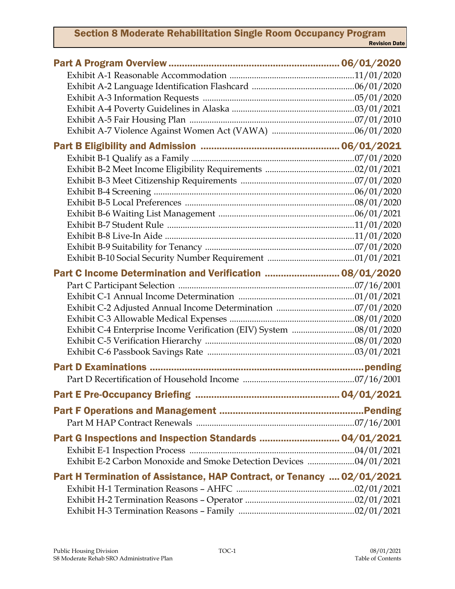## Section 8 Moderate Rehabilitation Single Room Occupancy Program Revision Date

| Part C Income Determination and Verification  08/01/2020               |  |
|------------------------------------------------------------------------|--|
|                                                                        |  |
|                                                                        |  |
|                                                                        |  |
|                                                                        |  |
|                                                                        |  |
|                                                                        |  |
|                                                                        |  |
|                                                                        |  |
|                                                                        |  |
|                                                                        |  |
|                                                                        |  |
|                                                                        |  |
| Part G Inspections and Inspection Standards  04/01/2021                |  |
|                                                                        |  |
| Exhibit E-2 Carbon Monoxide and Smoke Detection Devices 04/01/2021     |  |
| Part H Termination of Assistance, HAP Contract, or Tenancy  02/01/2021 |  |
|                                                                        |  |
|                                                                        |  |
|                                                                        |  |